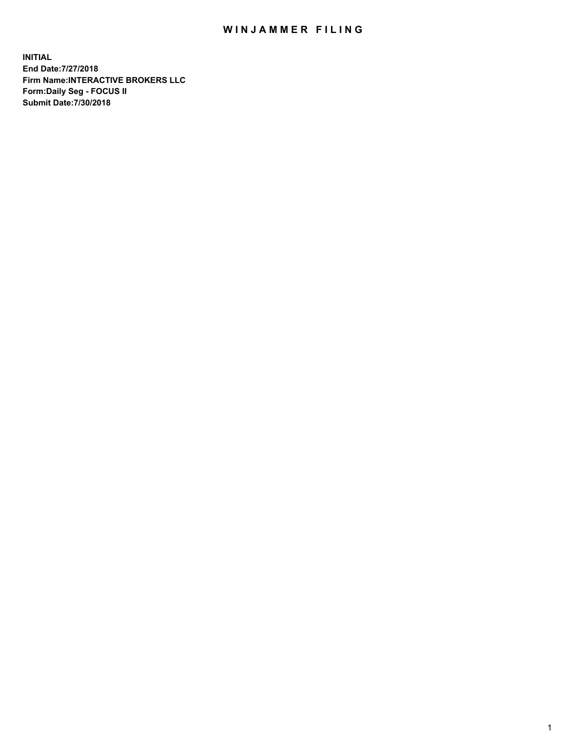## WIN JAMMER FILING

**INITIAL End Date:7/27/2018 Firm Name:INTERACTIVE BROKERS LLC Form:Daily Seg - FOCUS II Submit Date:7/30/2018**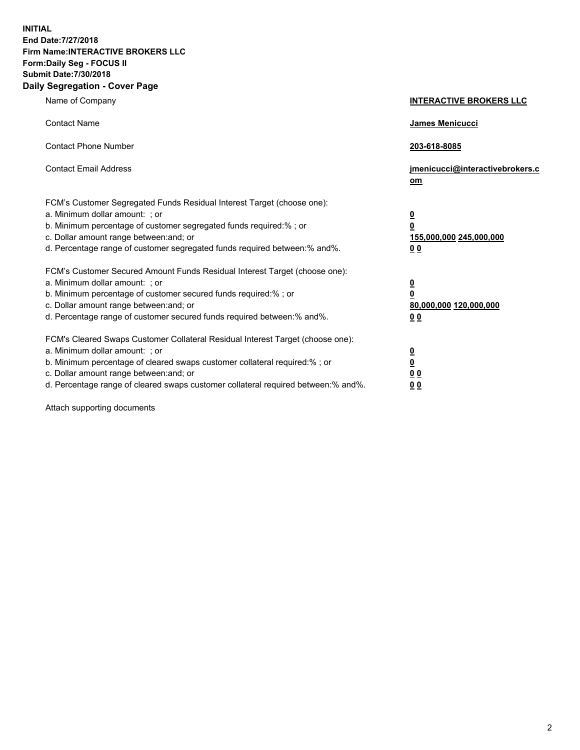**INITIAL End Date:7/27/2018 Firm Name:INTERACTIVE BROKERS LLC Form:Daily Seg - FOCUS II Submit Date:7/30/2018 Daily Segregation - Cover Page**

| Name of Company                                                                                                                                                                                                                                                                                                                | <b>INTERACTIVE BROKERS LLC</b>                                                            |
|--------------------------------------------------------------------------------------------------------------------------------------------------------------------------------------------------------------------------------------------------------------------------------------------------------------------------------|-------------------------------------------------------------------------------------------|
| <b>Contact Name</b>                                                                                                                                                                                                                                                                                                            | James Menicucci                                                                           |
| <b>Contact Phone Number</b>                                                                                                                                                                                                                                                                                                    | 203-618-8085                                                                              |
| <b>Contact Email Address</b>                                                                                                                                                                                                                                                                                                   | jmenicucci@interactivebrokers.c<br>om                                                     |
| FCM's Customer Segregated Funds Residual Interest Target (choose one):<br>a. Minimum dollar amount: ; or<br>b. Minimum percentage of customer segregated funds required:% ; or<br>c. Dollar amount range between: and; or<br>d. Percentage range of customer segregated funds required between:% and%.                         | $\overline{\mathbf{0}}$<br>0<br>155,000,000 245,000,000<br>0 <sub>0</sub>                 |
| FCM's Customer Secured Amount Funds Residual Interest Target (choose one):<br>a. Minimum dollar amount: ; or<br>b. Minimum percentage of customer secured funds required:% ; or<br>c. Dollar amount range between: and; or<br>d. Percentage range of customer secured funds required between:% and%.                           | $\overline{\mathbf{0}}$<br>$\overline{\mathbf{0}}$<br>80,000,000 120,000,000<br><u>00</u> |
| FCM's Cleared Swaps Customer Collateral Residual Interest Target (choose one):<br>a. Minimum dollar amount: ; or<br>b. Minimum percentage of cleared swaps customer collateral required:% ; or<br>c. Dollar amount range between: and; or<br>d. Percentage range of cleared swaps customer collateral required between:% and%. | $\overline{\mathbf{0}}$<br>$\underline{\mathbf{0}}$<br>0 <sub>0</sub><br>0 <sub>0</sub>   |

Attach supporting documents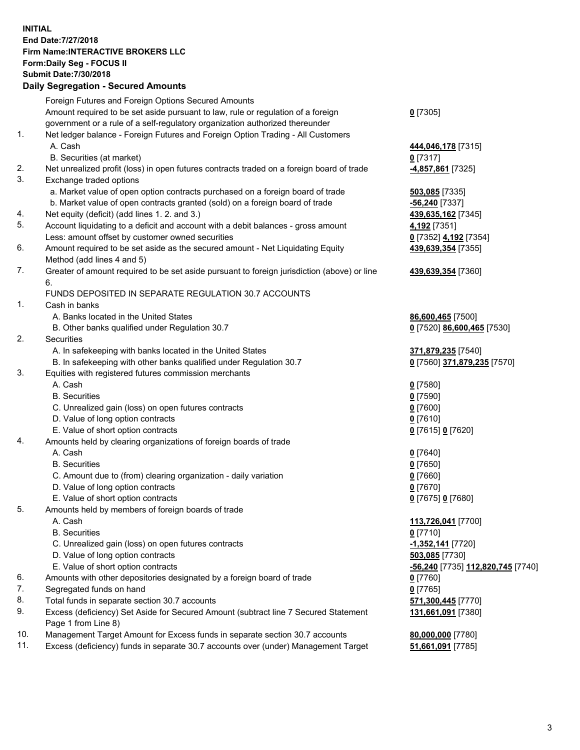## **INITIAL End Date:7/27/2018 Firm Name:INTERACTIVE BROKERS LLC Form:Daily Seg - FOCUS II Submit Date:7/30/2018 Daily Segregation - Secured Amounts**

|                | Dany Ocgi cganon - Occarca Anioante                                                         |                                                         |
|----------------|---------------------------------------------------------------------------------------------|---------------------------------------------------------|
|                | Foreign Futures and Foreign Options Secured Amounts                                         |                                                         |
|                | Amount required to be set aside pursuant to law, rule or regulation of a foreign            | $0$ [7305]                                              |
|                | government or a rule of a self-regulatory organization authorized thereunder                |                                                         |
| $\mathbf{1}$ . | Net ledger balance - Foreign Futures and Foreign Option Trading - All Customers             |                                                         |
|                | A. Cash                                                                                     | 444,046,178 [7315]                                      |
|                | B. Securities (at market)                                                                   | $0$ [7317]                                              |
| 2.             | Net unrealized profit (loss) in open futures contracts traded on a foreign board of trade   | 4,857,861 [7325]                                        |
| 3.             | Exchange traded options                                                                     |                                                         |
|                | a. Market value of open option contracts purchased on a foreign board of trade              | 503,085 [7335]                                          |
|                | b. Market value of open contracts granted (sold) on a foreign board of trade                | -56,240 [7337]                                          |
| 4.             | Net equity (deficit) (add lines 1. 2. and 3.)                                               | 439,635,162 [7345]                                      |
| 5.             | Account liquidating to a deficit and account with a debit balances - gross amount           | 4,192 [7351]                                            |
|                | Less: amount offset by customer owned securities                                            | 0 [7352] 4,192 [7354]                                   |
| 6.             | Amount required to be set aside as the secured amount - Net Liquidating Equity              | 439,639,354 [7355]                                      |
|                | Method (add lines 4 and 5)                                                                  |                                                         |
| 7.             | Greater of amount required to be set aside pursuant to foreign jurisdiction (above) or line | 439,639,354 [7360]                                      |
|                | 6.                                                                                          |                                                         |
|                | FUNDS DEPOSITED IN SEPARATE REGULATION 30.7 ACCOUNTS                                        |                                                         |
| $\mathbf{1}$ . | Cash in banks                                                                               |                                                         |
|                | A. Banks located in the United States                                                       | 86,600,465 [7500]                                       |
|                | B. Other banks qualified under Regulation 30.7                                              | 0 [7520] 86,600,465 [7530]                              |
| 2.             | Securities                                                                                  |                                                         |
|                | A. In safekeeping with banks located in the United States                                   | 371,879,235 [7540]                                      |
|                | B. In safekeeping with other banks qualified under Regulation 30.7                          | 0 [7560] 371,879,235 [7570]                             |
| 3.             | Equities with registered futures commission merchants                                       |                                                         |
|                | A. Cash                                                                                     | $0$ [7580]                                              |
|                | <b>B.</b> Securities                                                                        | $0$ [7590]                                              |
|                | C. Unrealized gain (loss) on open futures contracts                                         | $0$ [7600]                                              |
|                | D. Value of long option contracts                                                           | $0$ [7610]                                              |
|                | E. Value of short option contracts                                                          | 0 [7615] 0 [7620]                                       |
| 4.             | Amounts held by clearing organizations of foreign boards of trade                           |                                                         |
|                | A. Cash                                                                                     | $0$ [7640]                                              |
|                | <b>B.</b> Securities                                                                        | $0$ [7650]                                              |
|                | C. Amount due to (from) clearing organization - daily variation                             | $0$ [7660]                                              |
|                | D. Value of long option contracts                                                           | $0$ [7670]                                              |
|                | E. Value of short option contracts                                                          | 0 [7675] 0 [7680]                                       |
| 5.             | Amounts held by members of foreign boards of trade                                          |                                                         |
|                | A. Cash                                                                                     | 113,726,041 [7700]                                      |
|                | <b>B.</b> Securities                                                                        | $0$ [7710]                                              |
|                | C. Unrealized gain (loss) on open futures contracts                                         | $-1,352,141$ [7720]                                     |
|                | D. Value of long option contracts                                                           | 503,085 [7730]                                          |
|                | E. Value of short option contracts                                                          | <u>-<b>56,240</b> [</u> 7735] <u>112,820,745</u> [7740] |
| 6.             | Amounts with other depositories designated by a foreign board of trade                      | 0 [7760]                                                |
| 7.             | Segregated funds on hand                                                                    | $0$ [7765]                                              |
| 8.             | Total funds in separate section 30.7 accounts                                               | 571,300,445 [7770]                                      |
| 9.             | Excess (deficiency) Set Aside for Secured Amount (subtract line 7 Secured Statement         | 131,661,091 [7380]                                      |
|                | Page 1 from Line 8)                                                                         |                                                         |
| 10.            | Management Target Amount for Excess funds in separate section 30.7 accounts                 | 80,000,000 [7780]                                       |
| 11.            | Excess (deficiency) funds in separate 30.7 accounts over (under) Management Target          | 51,661,091 [7785]                                       |
|                |                                                                                             |                                                         |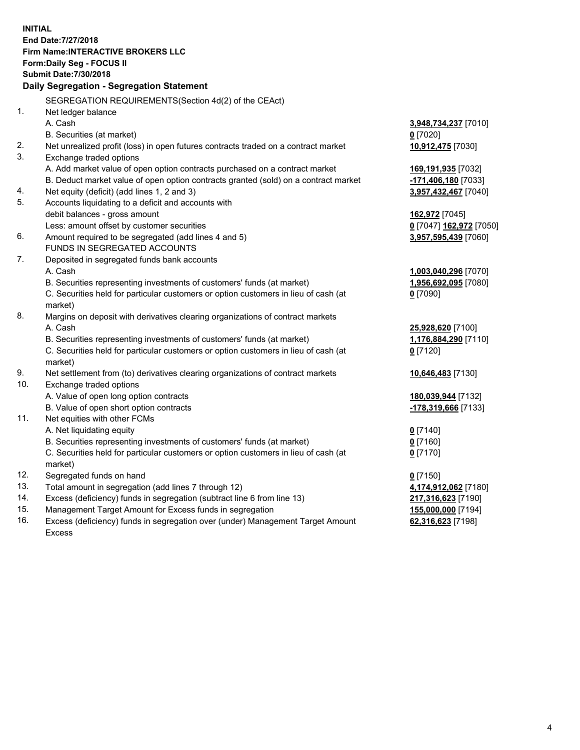**INITIAL End Date:7/27/2018 Firm Name:INTERACTIVE BROKERS LLC Form:Daily Seg - FOCUS II Submit Date:7/30/2018 Daily Segregation - Segregation Statement** SEGREGATION REQUIREMENTS(Section 4d(2) of the CEAct) 1. Net ledger balance A. Cash **3,948,734,237** [7010] B. Securities (at market) **0** [7020] 2. Net unrealized profit (loss) in open futures contracts traded on a contract market **10,912,475** [7030] 3. Exchange traded options A. Add market value of open option contracts purchased on a contract market **169,191,935** [7032] B. Deduct market value of open option contracts granted (sold) on a contract market **-171,406,180** [7033] 4. Net equity (deficit) (add lines 1, 2 and 3) **3,957,432,467** [7040] 5. Accounts liquidating to a deficit and accounts with debit balances - gross amount **162,972** [7045] Less: amount offset by customer securities **0** [7047] **162,972** [7050] 6. Amount required to be segregated (add lines 4 and 5) **3,957,595,439** [7060] FUNDS IN SEGREGATED ACCOUNTS 7. Deposited in segregated funds bank accounts A. Cash **1,003,040,296** [7070] B. Securities representing investments of customers' funds (at market) **1,956,692,095** [7080] C. Securities held for particular customers or option customers in lieu of cash (at market) **0** [7090] 8. Margins on deposit with derivatives clearing organizations of contract markets A. Cash **25,928,620** [7100] B. Securities representing investments of customers' funds (at market) **1,176,884,290** [7110] C. Securities held for particular customers or option customers in lieu of cash (at market) **0** [7120] 9. Net settlement from (to) derivatives clearing organizations of contract markets **10,646,483** [7130] 10. Exchange traded options A. Value of open long option contracts **180,039,944** [7132] B. Value of open short option contracts **-178,319,666** [7133] 11. Net equities with other FCMs A. Net liquidating equity **0** [7140] B. Securities representing investments of customers' funds (at market) **0** [7160] C. Securities held for particular customers or option customers in lieu of cash (at market) **0** [7170] 12. Segregated funds on hand **0** [7150] 13. Total amount in segregation (add lines 7 through 12) **4,174,912,062** [7180] 14. Excess (deficiency) funds in segregation (subtract line 6 from line 13) **217,316,623** [7190] 15. Management Target Amount for Excess funds in segregation **155,000,000** [7194] **62,316,623** [7198]

16. Excess (deficiency) funds in segregation over (under) Management Target Amount Excess